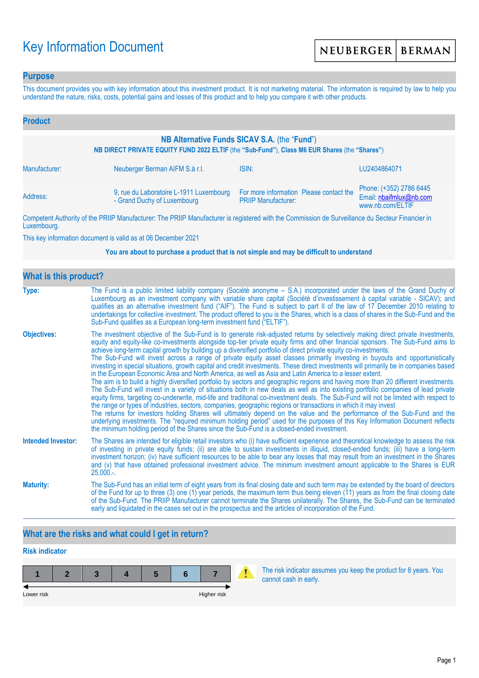# Key Information Document

### **Purpose**

This document provides you with key information about this investment product. It is not marketing material. The information is required by law to help you understand the nature, risks, costs, potential gains and losses of this product and to help you compare it with other products.

| <b>Product</b>                                                                                                                                |                                                                        |                                                                                                                                                                                                                                      |                                                                        |  |  |  |
|-----------------------------------------------------------------------------------------------------------------------------------------------|------------------------------------------------------------------------|--------------------------------------------------------------------------------------------------------------------------------------------------------------------------------------------------------------------------------------|------------------------------------------------------------------------|--|--|--|
| NB Alternative Funds SICAV S.A. (the "Fund")<br>NB DIRECT PRIVATE EQUITY FUND 2022 ELTIF (the "Sub-Fund"), Class M6 EUR Shares (the "Shares") |                                                                        |                                                                                                                                                                                                                                      |                                                                        |  |  |  |
| Manufacturer:                                                                                                                                 | Neuberger Berman AIFM S.à r.l.                                         | ISIN:                                                                                                                                                                                                                                | LU2404864071                                                           |  |  |  |
| Address:                                                                                                                                      | 9, rue du Laboratoire L-1911 Luxembourg<br>- Grand Duchy of Luxembourg | For more information Please contact the<br><b>PRIIP Manufacturer:</b>                                                                                                                                                                | Phone: (+352) 2786 6445<br>Email: nbaifmlux@nb.com<br>www.nb.com/ELTIF |  |  |  |
|                                                                                                                                               |                                                                        | <b>THE BRUSH AND AND AND ACCOUNT AND ACCOUNT AND ACCOUNT AND ACCOUNT AND ACCOUNT ACCOUNT AND ACCOUNT ACCOUNT ACCOUNT ACCOUNT ACCOUNT ACCOUNT ACCOUNT ACCOUNT ACCOUNT ACCOUNT ACCOUNT ACCOUNT ACCOUNT ACCOUNT ACCOUNT ACCOUNT ACC</b> |                                                                        |  |  |  |

Competent Authority of the PRIIP Manufacturer: The PRIIP Manufacturer is registered with the Commission de Surveillance du Secteur Financier in Luxembourg.

This key information document is valid as at 06 December 2021

#### **You are about to purchase a product that is not simple and may be difficult to understand**

| <b>What is this product?</b> |                                                                                                                                                                                                                                                                                                                                                                                                                                                                                                                                                                                                                                                                                                                                                                                                                                                                                                                                                                                                                                                                                                                                                                                                                                                                                                                                                                                                                                                                                                                                                                                                                                                                               |  |  |  |  |
|------------------------------|-------------------------------------------------------------------------------------------------------------------------------------------------------------------------------------------------------------------------------------------------------------------------------------------------------------------------------------------------------------------------------------------------------------------------------------------------------------------------------------------------------------------------------------------------------------------------------------------------------------------------------------------------------------------------------------------------------------------------------------------------------------------------------------------------------------------------------------------------------------------------------------------------------------------------------------------------------------------------------------------------------------------------------------------------------------------------------------------------------------------------------------------------------------------------------------------------------------------------------------------------------------------------------------------------------------------------------------------------------------------------------------------------------------------------------------------------------------------------------------------------------------------------------------------------------------------------------------------------------------------------------------------------------------------------------|--|--|--|--|
| Type:                        | The Fund is a public limited liability company (Société anonyme – S.A.) incorporated under the laws of the Grand Duchy of<br>Luxembourg as an investment company with variable share capital (Société d'investissement à capital variable - SICAV); and<br>qualifies as an alternative investment fund ("AIF"). The Fund is subject to part II of the law of 17 December 2010 relating to<br>undertakings for collective investment. The product offered to you is the Shares, which is a class of shares in the Sub-Fund and the<br>Sub-Fund qualifies as a European long-term investment fund ("ELTIF").                                                                                                                                                                                                                                                                                                                                                                                                                                                                                                                                                                                                                                                                                                                                                                                                                                                                                                                                                                                                                                                                    |  |  |  |  |
| <b>Objectives:</b>           | The investment objective of the Sub-Fund is to generate risk-adjusted returns by selectively making direct private investments,<br>equity and equity-like co-investments alongside top-tier private equity firms and other financial sponsors. The Sub-Fund aims to<br>achieve long-term capital growth by building up a diversified portfolio of direct private equity co-investments.<br>The Sub-Fund will invest across a range of private equity asset classes primarily investing in buyouts and opportunistically<br>investing in special situations, growth capital and credit investments. These direct investments will primarily be in companies based<br>in the European Economic Area and North America, as well as Asia and Latin America to a lesser extent.<br>The aim is to build a highly diversified portfolio by sectors and geographic regions and having more than 20 different investments.<br>The Sub-Fund will invest in a variety of situations both in new deals as well as into existing portfolio companies of lead private<br>equity firms, targeting co-underwrite, mid-life and traditional co-investment deals. The Sub-Fund will not be limited with respect to<br>the range or types of industries, sectors, companies, geographic regions or transactions in which it may invest<br>The returns for investors holding Shares will ultimately depend on the value and the performance of the Sub-Fund and the<br>underlying investments. The "required minimum holding period" used for the purposes of this Key Information Document reflects<br>the minimum holding period of the Shares since the Sub-Fund is a closed-ended investment. |  |  |  |  |
| <b>Intended Investor:</b>    | The Shares are intended for eligible retail investors who (i) have sufficient experience and theoretical knowledge to assess the risk<br>of investing in private equity funds; (ii) are able to sustain investments in illiquid, closed-ended funds; (iii) have a long-term<br>investment horizon; (iv) have sufficient resources to be able to bear any losses that may result from an investment in the Shares<br>and (v) that have obtained professional investment advice. The minimum investment amount applicable to the Shares is EUR<br>$25,000.$ -.                                                                                                                                                                                                                                                                                                                                                                                                                                                                                                                                                                                                                                                                                                                                                                                                                                                                                                                                                                                                                                                                                                                  |  |  |  |  |
| <b>Maturity:</b>             | The Sub-Fund has an initial term of eight years from its final closing date and such term may be extended by the board of directors<br>of the Fund for up to three (3) one (1) year periods, the maximum term thus being eleven (11) years as from the final closing date<br>of the Sub-Fund. The PRIIP Manufacturer cannot terminate the Shares unilaterally. The Shares, the Sub-Fund can be terminated<br>early and liquidated in the cases set out in the prospectus and the articles of incorporation of the Fund.                                                                                                                                                                                                                                                                                                                                                                                                                                                                                                                                                                                                                                                                                                                                                                                                                                                                                                                                                                                                                                                                                                                                                       |  |  |  |  |

# **What are the risks and what could I get in return?**

# **Risk indicator**

| Lower risk |  |  | Higher risk |  |
|------------|--|--|-------------|--|

The risk indicator assumes you keep the product for 8 years. You cannot cash in early.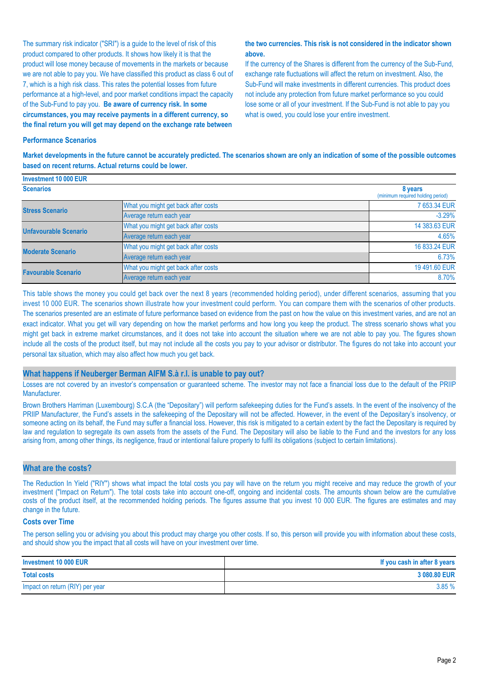The summary risk indicator ("SRI") is a guide to the level of risk of this product compared to other products. It shows how likely it is that the product will lose money because of movements in the markets or because we are not able to pay you. We have classified this product as class 6 out of 7, which is a high risk class. This rates the potential losses from future performance at a high-level, and poor market conditions impact the capacity of the Sub-Fund to pay you. **Be aware of currency risk. In some circumstances, you may receive payments in a different currency, so the final return you will get may depend on the exchange rate between** 

#### **the two currencies. This risk is not considered in the indicator shown above.**

If the currency of the Shares is different from the currency of the Sub-Fund, exchange rate fluctuations will affect the return on investment. Also, the Sub-Fund will make investments in different currencies. This product does not include any protection from future market performance so you could lose some or all of your investment. If the Sub-Fund is not able to pay you what is owed, you could lose your entire investment.

#### **Performance Scenarios**

**Market developments in the future cannot be accurately predicted. The scenarios shown are only an indication of some of the possible outcomes based on recent returns. Actual returns could be lower.**

| <b>Investment 10 000 EUR</b> |                                     |                                              |
|------------------------------|-------------------------------------|----------------------------------------------|
| <b>Scenarios</b>             |                                     | 8 years<br>(minimum required holding period) |
| <b>Stress Scenario</b>       | What you might get back after costs | 7 653.34 EUR                                 |
|                              | Average return each year            | $-3.29%$                                     |
| <b>Unfavourable Scenario</b> | What you might get back after costs | 14 383.63 EUR                                |
|                              | Average return each year            | 4.65%                                        |
| <b>Moderate Scenario</b>     | What you might get back after costs | 16 833.24 EUR                                |
|                              | Average return each year            | 6.73%                                        |
| <b>Favourable Scenario</b>   | What you might get back after costs | 19 491.60 EUR                                |
|                              | Average return each year            | 8.70%                                        |

This table shows the money you could get back over the next 8 years (recommended holding period), under different scenarios, assuming that you invest 10 000 EUR. The scenarios shown illustrate how your investment could perform. You can compare them with the scenarios of other products. The scenarios presented are an estimate of future performance based on evidence from the past on how the value on this investment varies, and are not an exact indicator. What you get will vary depending on how the market performs and how long you keep the product. The stress scenario shows what you might get back in extreme market circumstances, and it does not take into account the situation where we are not able to pay you. The figures shown include all the costs of the product itself, but may not include all the costs you pay to your advisor or distributor. The figures do not take into account your personal tax situation, which may also affect how much you get back.

#### **What happens if Neuberger Berman AIFM S.à r.l. is unable to pay out?**

Losses are not covered by an investor's compensation or guaranteed scheme. The investor may not face a financial loss due to the default of the PRIIP Manufacturer.

Brown Brothers Harriman (Luxembourg) S.C.A (the "Depositary") will perform safekeeping duties for the Fund's assets. In the event of the insolvency of the PRIIP Manufacturer, the Fund's assets in the safekeeping of the Depositary will not be affected. However, in the event of the Depositary's insolvency, or someone acting on its behalf, the Fund may suffer a financial loss. However, this risk is mitigated to a certain extent by the fact the Depositary is required by law and regulation to segregate its own assets from the assets of the Fund. The Depositary will also be liable to the Fund and the investors for any loss arising from, among other things, its negligence, fraud or intentional failure properly to fulfil its obligations (subject to certain limitations).

#### **What are the costs?**

The Reduction In Yield ("RIY") shows what impact the total costs you pay will have on the return you might receive and may reduce the growth of your investment ("Impact on Return"). The total costs take into account one-off, ongoing and incidental costs. The amounts shown below are the cumulative costs of the product itself, at the recommended holding periods. The figures assume that you invest 10 000 EUR. The figures are estimates and may change in the future.

#### **Costs over Time**

The person selling you or advising you about this product may charge you other costs. If so, this person will provide you with information about these costs, and should show you the impact that all costs will have on your investment over time.

| Investment 10 000 EUR           | If you cash in after 8 years |
|---------------------------------|------------------------------|
| <b>Total costs</b>              | 3 080.80 EUR                 |
| Impact on return (RIY) per year | 3.85%                        |